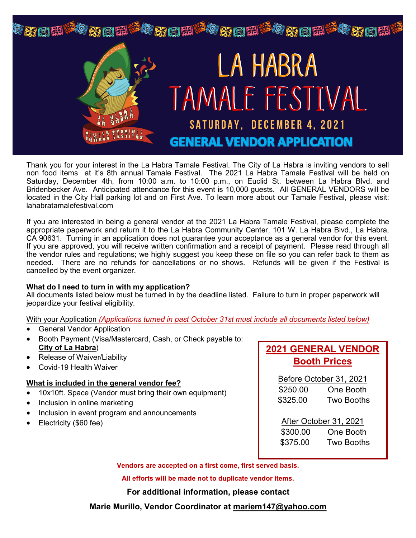

Thank you for your interest in the La Habra Tamale Festival. The City of La Habra is inviting vendors to sell non food items at it's 8th annual Tamale Festival. The 2021 La Habra Tamale Festival will be held on Saturday, December 4th, from 10:00 a.m. to 10:00 p.m., on Euclid St. between La Habra Blvd. and Bridenbecker Ave. Anticipated attendance for this event is 10,000 guests. All GENERAL VENDORS will be located in the City Hall parking lot and on First Ave. To learn more about our Tamale Festival, please visit: lahabratamalefestival.com

If you are interested in being a general vendor at the 2021 La Habra Tamale Festival, please complete the appropriate paperwork and return it to the La Habra Community Center, 101 W. La Habra Blvd., La Habra, CA 90631. Turning in an application does not guarantee your acceptance as a general vendor for this event. If you are approved, you will receive written confirmation and a receipt of payment. Please read through all the vendor rules and regulations; we highly suggest you keep these on file so you can refer back to them as needed. There are no refunds for cancellations or no shows. Refunds will be given if the Festival is cancelled by the event organizer.

## **What do I need to turn in with my application?**

All documents listed below must be turned in by the deadline listed. Failure to turn in proper paperwork will jeopardize your festival eligibility.

With your Application *(Applications turned in past October 31st must include all documents listed below)*

- General Vendor Application
- Booth Payment (Visa/Mastercard, Cash, or Check payable to: **City of La Habra**)
- Release of Waiver/Liability
- Covid-19 Health Waiver

## **What is included in the general vendor fee?**

- 10x10ft. Space (Vendor must bring their own equipment)
- Inclusion in online marketing
- Inclusion in event program and announcements
- Electricity (\$60 fee)

# **2021 GENERAL VENDOR Booth Prices**

Before October 31, 2021 \$250.00 One Booth \$325.00 Two Booths

After October 31, 2021 \$300.00 One Booth \$375.00 Two Booths

**Vendors are accepted on a first come, first served basis.**

**All efforts will be made not to duplicate vendor items.**

**For additional information, please contact** 

**Marie Murillo, Vendor Coordinator at mariem147@yahoo.com**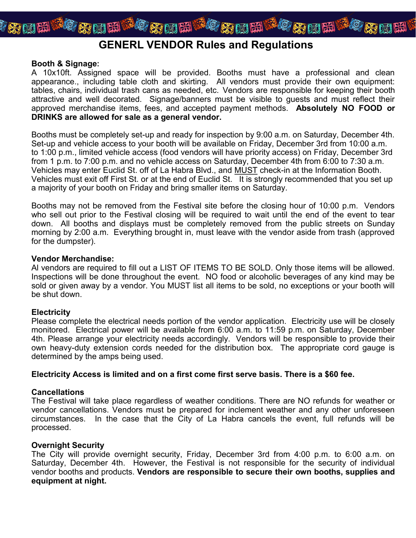

# **GENERL VENDOR Rules and Regulations**

### **Booth & Signage:**

A 10x10ft. Assigned space will be provided. Booths must have a professional and clean appearance., including table cloth and skirting. All vendors must provide their own equipment: tables, chairs, individual trash cans as needed, etc. Vendors are responsible for keeping their booth attractive and well decorated. Signage/banners must be visible to guests and must reflect their approved merchandise items, fees, and accepted payment methods. **Absolutely NO FOOD or DRINKS are allowed for sale as a general vendor.** 

Booths must be completely set-up and ready for inspection by 9:00 a.m. on Saturday, December 4th. Set-up and vehicle access to your booth will be available on Friday, December 3rd from 10:00 a.m. to 1:00 p.m., limited vehicle access (food vendors will have priority access) on Friday, December 3rd from 1 p.m. to 7:00 p.m. and no vehicle access on Saturday, December 4th from 6:00 to 7:30 a.m. Vehicles may enter Euclid St. off of La Habra Blvd., and MUST check-in at the Information Booth. Vehicles must exit off First St. or at the end of Euclid St. It is strongly recommended that you set up a majority of your booth on Friday and bring smaller items on Saturday.

Booths may not be removed from the Festival site before the closing hour of 10:00 p.m. Vendors who sell out prior to the Festival closing will be required to wait until the end of the event to tear down. All booths and displays must be completely removed from the public streets on Sunday morning by 2:00 a.m. Everything brought in, must leave with the vendor aside from trash (approved for the dumpster).

### **Vendor Merchandise:**

Al vendors are required to fill out a LIST OF ITEMS TO BE SOLD. Only those items will be allowed. Inspections will be done throughout the event. NO food or alcoholic beverages of any kind may be sold or given away by a vendor. You MUST list all items to be sold, no exceptions or your booth will be shut down.

## **Electricity**

Please complete the electrical needs portion of the vendor application. Electricity use will be closely monitored. Electrical power will be available from 6:00 a.m. to 11:59 p.m. on Saturday, December 4th. Please arrange your electricity needs accordingly. Vendors will be responsible to provide their own heavy-duty extension cords needed for the distribution box. The appropriate cord gauge is determined by the amps being used.

## **Electricity Access is limited and on a first come first serve basis. There is a \$60 fee.**

## **Cancellations**

The Festival will take place regardless of weather conditions. There are NO refunds for weather or vendor cancellations. Vendors must be prepared for inclement weather and any other unforeseen circumstances. In the case that the City of La Habra cancels the event, full refunds will be processed.

## **Overnight Security**

The City will provide overnight security, Friday, December 3rd from 4:00 p.m. to 6:00 a.m. on Saturday, December 4th. However, the Festival is not responsible for the security of individual vendor booths and products. **Vendors are responsible to secure their own booths, supplies and equipment at night.**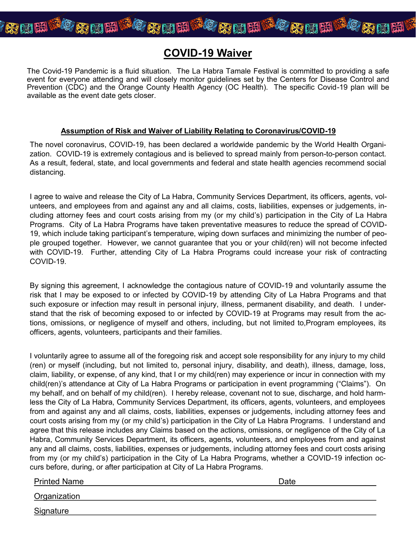

# **COVID-19 Waiver**

The Covid-19 Pandemic is a fluid situation. The La Habra Tamale Festival is committed to providing a safe event for everyone attending and will closely monitor guidelines set by the Centers for Disease Control and Prevention (CDC) and the Orange County Health Agency (OC Health). The specific Covid-19 plan will be available as the event date gets closer.

## **Assumption of Risk and Waiver of Liability Relating to Coronavirus/COVID-19**

The novel coronavirus, COVID-19, has been declared a worldwide pandemic by the World Health Organization. COVID-19 is extremely contagious and is believed to spread mainly from person-to-person contact. As a result, federal, state, and local governments and federal and state health agencies recommend social distancing.

I agree to waive and release the City of La Habra, Community Services Department, its officers, agents, volunteers, and employees from and against any and all claims, costs, liabilities, expenses or judgements, including attorney fees and court costs arising from my (or my child's) participation in the City of La Habra Programs. City of La Habra Programs have taken preventative measures to reduce the spread of COVID-19, which include taking participant's temperature, wiping down surfaces and minimizing the number of people grouped together. However, we cannot guarantee that you or your child(ren) will not become infected with COVID-19. Further, attending City of La Habra Programs could increase your risk of contracting COVID-19.

By signing this agreement, I acknowledge the contagious nature of COVID-19 and voluntarily assume the risk that I may be exposed to or infected by COVID-19 by attending City of La Habra Programs and that such exposure or infection may result in personal injury, illness, permanent disability, and death. I understand that the risk of becoming exposed to or infected by COVID-19 at Programs may result from the actions, omissions, or negligence of myself and others, including, but not limited to,Program employees, its officers, agents, volunteers, participants and their families.

I voluntarily agree to assume all of the foregoing risk and accept sole responsibility for any injury to my child (ren) or myself (including, but not limited to, personal injury, disability, and death), illness, damage, loss, claim, liability, or expense, of any kind, that I or my child(ren) may experience or incur in connection with my child(ren)'s attendance at City of La Habra Programs or participation in event programming ("Claims"). On my behalf, and on behalf of my child(ren). I hereby release, covenant not to sue, discharge, and hold harmless the City of La Habra, Community Services Department, its officers, agents, volunteers, and employees from and against any and all claims, costs, liabilities, expenses or judgements, including attorney fees and court costs arising from my (or my child's) participation in the City of La Habra Programs. I understand and agree that this release includes any Claims based on the actions, omissions, or negligence of the City of La Habra, Community Services Department, its officers, agents, volunteers, and employees from and against any and all claims, costs, liabilities, expenses or judgements, including attorney fees and court costs arising from my (or my child's) participation in the City of La Habra Programs, whether a COVID-19 infection occurs before, during, or after participation at City of La Habra Programs.

Printed Name **Date** Date **Date** Date **Date** Date **Date** 

**Organization** 

**Signature**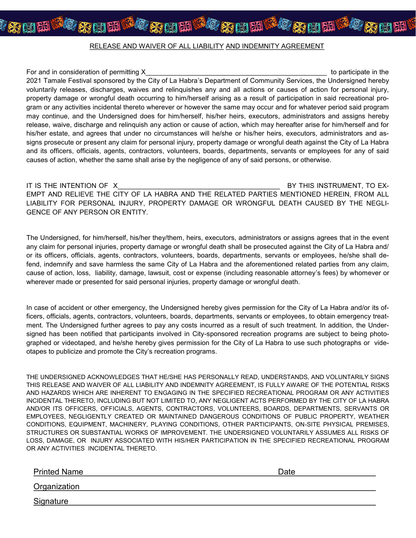阳

阳

阳

For and in consideration of permitting X and the state of the state of participate in the state of participate in the state of participate in the state of participate in the state of participate in the state of participate 2021 Tamale Festival sponsored by the City of La Habra's Department of Community Services, the Undersigned hereby voluntarily releases, discharges, waives and relinquishes any and all actions or causes of action for personal injury, property damage or wrongful death occurring to him/herself arising as a result of participation in said recreational program or any activities incidental thereto wherever or however the same may occur and for whatever period said program may continue, and the Undersigned does for him/herself, his/her heirs, executors, administrators and assigns hereby release, waive, discharge and relinquish any action or cause of action, which may hereafter arise for him/herself and for his/her estate, and agrees that under no circumstances will he/she or his/her heirs, executors, administrators and assigns prosecute or present any claim for personal injury, property damage or wrongful death against the City of La Habra and its officers, officials, agents, contractors, volunteers, boards, departments, servants or employees for any of said causes of action, whether the same shall arise by the negligence of any of said persons, or otherwise.

IT IS THE INTENTION OF X ALL RESERVES THIS INSTRUMENT, TO EX-EMPT AND RELIEVE THE CITY OF LA HABRA AND THE RELATED PARTIES MENTIONED HEREIN, FROM ALL LIABILITY FOR PERSONAL INJURY, PROPERTY DAMAGE OR WRONGFUL DEATH CAUSED BY THE NEGLI-GENCE OF ANY PERSON OR ENTITY.

The Undersigned, for him/herself, his/her they/them, heirs, executors, administrators or assigns agrees that in the event any claim for personal injuries, property damage or wrongful death shall be prosecuted against the City of La Habra and/ or its officers, officials, agents, contractors, volunteers, boards, departments, servants or employees, he/she shall defend, indemnify and save harmless the same City of La Habra and the aforementioned related parties from any claim, cause of action, loss, liability, damage, lawsuit, cost or expense (including reasonable attorney's fees) by whomever or wherever made or presented for said personal injuries, property damage or wrongful death.

In case of accident or other emergency, the Undersigned hereby gives permission for the City of La Habra and/or its officers, officials, agents, contractors, volunteers, boards, departments, servants or employees, to obtain emergency treatment. The Undersigned further agrees to pay any costs incurred as a result of such treatment. In addition, the Undersigned has been notified that participants involved in City-sponsored recreation programs are subject to being photographed or videotaped, and he/she hereby gives permission for the City of La Habra to use such photographs or videotapes to publicize and promote the City's recreation programs.

THE UNDERSIGNED ACKNOWLEDGES THAT HE/SHE HAS PERSONALLY READ, UNDERSTANDS, AND VOLUNTARILY SIGNS THIS RELEASE AND WAIVER OF ALL LIABILITY AND INDEMNITY AGREEMENT, IS FULLY AWARE OF THE POTENTIAL RISKS AND HAZARDS WHICH ARE INHERENT TO ENGAGING IN THE SPECIFIED RECREATIONAL PROGRAM OR ANY ACTIVITIES INCIDENTAL THERETO, INCLUDING BUT NOT LIMITED TO, ANY NEGLIGENT ACTS PERFORMED BY THE CITY OF LA HABRA AND/OR ITS OFFICERS, OFFICIALS, AGENTS, CONTRACTORS, VOLUNTEERS, BOARDS, DEPARTMENTS, SERVANTS OR EMPLOYEES, NEGLIGENTLY CREATED OR MAINTAINED DANGEROUS CONDITIONS OF PUBLIC PROPERTY, WEATHER CONDITIONS, EQUIPMENT, MACHINERY, PLAYING CONDITIONS, OTHER PARTICIPANTS, ON-SITE PHYSICAL PREMISES, STRUCTURES OR SUBSTANTIAL WORKS OF IMPROVEMENT. THE UNDERSIGNED VOLUNTARILY ASSUMES ALL RISKS OF LOSS, DAMAGE, OR INJURY ASSOCIATED WITH HIS/HER PARTICIPATION IN THE SPECIFIED RECREATIONAL PROGRAM OR ANY ACTIVITIES INCIDENTAL THERETO.

Printed Name **Date** 

**Organization** 

Signature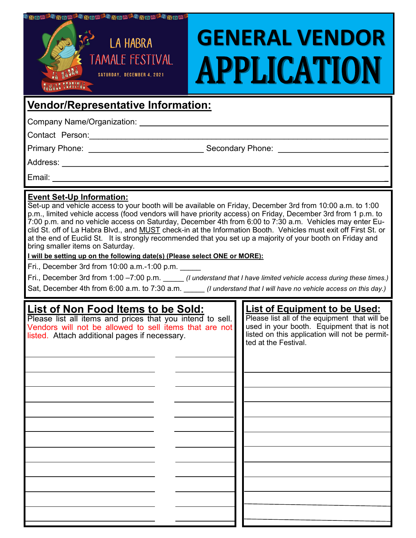| <sup>1</sup> an B <sup>o</sup> an B <sup>o a</sup> an B <sup>o a</sup> an B <sup>o</sup> an Bo<br><b>LA HABRA</b><br>TAMALE FESTIVAL<br>24 HABRA<br>SATURDAY, DECEMBER 4, 2021<br>TAMALE TESTIVAL  | <b>GENERAL VENDOR</b><br>APPLICATION                                                                                                                                                                                                                                                                                                                                                                                                                                                                                                                                                                                                                                                                                                                                                                   |
|----------------------------------------------------------------------------------------------------------------------------------------------------------------------------------------------------|--------------------------------------------------------------------------------------------------------------------------------------------------------------------------------------------------------------------------------------------------------------------------------------------------------------------------------------------------------------------------------------------------------------------------------------------------------------------------------------------------------------------------------------------------------------------------------------------------------------------------------------------------------------------------------------------------------------------------------------------------------------------------------------------------------|
| <b>Vendor/Representative Information:</b>                                                                                                                                                          |                                                                                                                                                                                                                                                                                                                                                                                                                                                                                                                                                                                                                                                                                                                                                                                                        |
|                                                                                                                                                                                                    |                                                                                                                                                                                                                                                                                                                                                                                                                                                                                                                                                                                                                                                                                                                                                                                                        |
| Contact Person: 2008                                                                                                                                                                               |                                                                                                                                                                                                                                                                                                                                                                                                                                                                                                                                                                                                                                                                                                                                                                                                        |
|                                                                                                                                                                                                    |                                                                                                                                                                                                                                                                                                                                                                                                                                                                                                                                                                                                                                                                                                                                                                                                        |
|                                                                                                                                                                                                    |                                                                                                                                                                                                                                                                                                                                                                                                                                                                                                                                                                                                                                                                                                                                                                                                        |
| Email: <u>_________________________________</u>                                                                                                                                                    |                                                                                                                                                                                                                                                                                                                                                                                                                                                                                                                                                                                                                                                                                                                                                                                                        |
| <b>Event Set-Up Information:</b><br>bring smaller items on Saturday.<br>I will be setting up on the following date(s) (Please select ONE or MORE):<br>Fri., December 3rd from 10:00 a.m.-1:00 p.m. | Set-up and vehicle access to your booth will be available on Friday, December 3rd from 10:00 a.m. to 1:00<br>p.m., limited vehicle access (food vendors will have priority access) on Friday, December 3rd from 1 p.m. to<br>7:00 p.m. and no vehicle access on Saturday, December 4th from 6:00 to 7:30 a.m. Vehicles may enter Eu-<br>clid St. off of La Habra Blvd., and MUST check-in at the Information Booth. Vehicles must exit off First St. or<br>at the end of Euclid St. It is strongly recommended that you set up a majority of your booth on Friday and<br>Fri., December 3rd from 1:00 -7:00 p.m. (I understand that I have limited vehicle access during these times.)<br>Sat, December 4th from 6:00 a.m. to 7:30 a.m. (I understand that I will have no vehicle access on this day.) |
|                                                                                                                                                                                                    |                                                                                                                                                                                                                                                                                                                                                                                                                                                                                                                                                                                                                                                                                                                                                                                                        |

| List of Non Food Items to be Sold:                                                                                                                                   | <b>List of Equipment to be Used:</b>                                                                                                         |
|----------------------------------------------------------------------------------------------------------------------------------------------------------------------|----------------------------------------------------------------------------------------------------------------------------------------------|
| Please list all items and prices that you intend to sell.<br>Vendors will not be allowed to sell items that are not<br>listed. Attach additional pages if necessary. | Please list all of the equipment that will be<br>used in your booth. Equipment that is not<br>listed on this application will not be permit- |
|                                                                                                                                                                      | ted at the Festival.                                                                                                                         |
|                                                                                                                                                                      |                                                                                                                                              |
|                                                                                                                                                                      |                                                                                                                                              |
|                                                                                                                                                                      |                                                                                                                                              |
|                                                                                                                                                                      |                                                                                                                                              |
|                                                                                                                                                                      |                                                                                                                                              |
|                                                                                                                                                                      |                                                                                                                                              |
|                                                                                                                                                                      |                                                                                                                                              |
|                                                                                                                                                                      |                                                                                                                                              |
|                                                                                                                                                                      |                                                                                                                                              |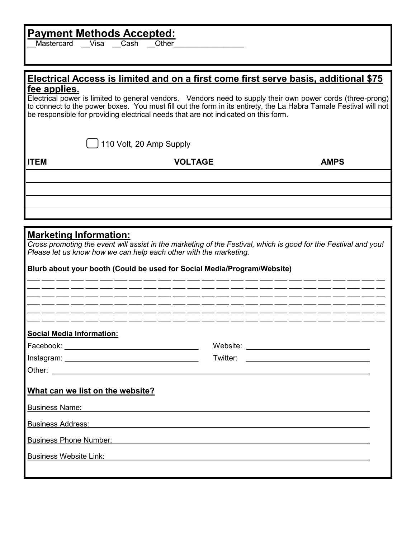# **Payment Methods Accepted:**

Mastercard Visa Cash Other

## **Electrical Access is limited and on a first come first serve basis, additional \$75 fee applies.**

Electrical power is limited to general vendors. Vendors need to supply their own power cords (three-prong) to connect to the power boxes. You must fill out the form in its entirety, the La Habra Tamale Festival will not be responsible for providing electrical needs that are not indicated on this form.

110 Volt, 20 Amp Supply

**ITEM VOLTAGE AMPS**

## **Marketing Information:**

*Cross promoting the event will assist in the marketing of the Festival, which is good for the Festival and you! Please let us know how we can help each other with the marketing.* 

\_\_\_ \_\_\_ \_\_\_ \_\_\_ \_\_\_ \_\_\_ \_\_\_ \_\_\_ \_\_\_ \_\_\_ \_\_\_ \_\_\_ \_\_\_ \_\_\_ \_\_\_ \_\_\_ \_\_\_ \_\_\_ \_\_\_ \_\_\_ \_\_\_ \_\_\_ \_\_\_ \_\_\_ \_\_ \_\_\_ \_\_\_ \_\_\_ \_\_\_ \_\_\_ \_\_\_ \_\_\_ \_\_\_ \_\_\_ \_\_\_ \_\_\_ \_\_\_ \_\_\_ \_\_\_ \_\_\_ \_\_\_ \_\_\_ \_\_\_ \_\_\_ \_\_\_ \_\_\_ \_\_\_ \_\_\_ \_\_\_ \_\_ \_\_\_ \_\_\_ \_\_\_ \_\_\_ \_\_\_ \_\_\_ \_\_\_ \_\_\_ \_\_\_ \_\_\_ \_\_\_ \_\_\_ \_\_\_ \_\_\_ \_\_\_ \_\_\_ \_\_\_ \_\_\_ \_\_\_ \_\_\_ \_\_\_ \_\_\_ \_\_\_ \_\_\_ \_\_

|  | Blurb about your booth (Could be used for Social Media/Program/Website) |
|--|-------------------------------------------------------------------------|
|--|-------------------------------------------------------------------------|

| <b>Social Media Information:</b>                                                        |                                                                                                                                  |  |
|-----------------------------------------------------------------------------------------|----------------------------------------------------------------------------------------------------------------------------------|--|
|                                                                                         |                                                                                                                                  |  |
|                                                                                         | Twitter:<br><u> Alexandria de la contrada de la contrada de la contrada de la contrada de la contrada de la contrada de la c</u> |  |
|                                                                                         |                                                                                                                                  |  |
| What can we list on the website?<br><b>Business Name: Business Name: Business Name:</b> |                                                                                                                                  |  |
| <b>Business Address:</b>                                                                |                                                                                                                                  |  |
| <b>Business Phone Number:</b>                                                           |                                                                                                                                  |  |
| <b>Business Website Link:</b>                                                           |                                                                                                                                  |  |
|                                                                                         |                                                                                                                                  |  |